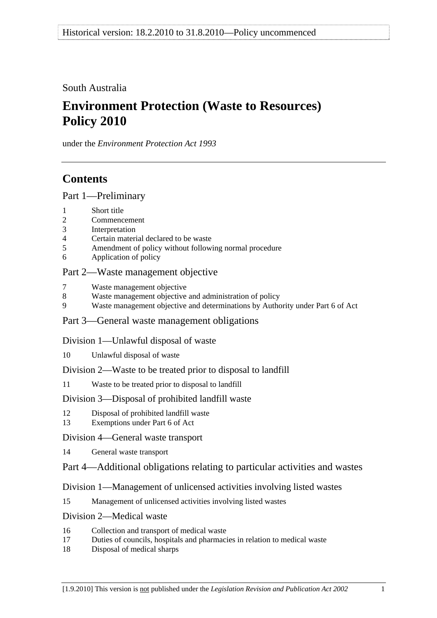South Australia

# **Environment Protection (Waste to Resources) Policy 2010**

under the *Environment Protection Act 1993*

## **Contents**

[Part 1—Preliminary](#page-1-0)

- [1 Short title](#page-1-0)
- [2 Commencement](#page-1-0)
- [3 Interpretation](#page-1-0)
- [4 Certain material declared to be waste](#page-5-0)
- [5 Amendment of policy without following normal procedure](#page-5-0)
- [6 Application of policy](#page-6-0)

## [Part 2—Waste management objective](#page-7-0)

- [7 Waste management objective](#page-7-0)
- [8 Waste management objective and administration of policy](#page-7-0)
- [9 Waste management objective and determinations by Authority under Part 6 of Act](#page-7-0)

## [Part 3—General waste management obligations](#page-7-0)

## [Division 1—Unlawful disposal of waste](#page-7-0)

[10 Unlawful disposal of waste](#page-7-0) 

## [Division 2—Waste to be treated prior to disposal to landfill](#page-9-0)

[11 Waste to be treated prior to disposal to landfill](#page-9-0)

## [Division 3—Disposal of prohibited landfill waste](#page-10-0)

- [12 Disposal of prohibited landfill waste](#page-10-0)
- [13 Exemptions under Part 6 of Act](#page-11-0)
- [Division 4—General waste transport](#page-11-0)
- [14 General waste transport](#page-11-0)
- [Part 4—Additional obligations relating to particular activities and wastes](#page-12-0)

## [Division 1—Management of unlicensed activities involving listed wastes](#page-12-0)

[15 Management of unlicensed activities involving listed wastes](#page-12-0)

## [Division 2—Medical waste](#page-12-0)

- [16 Collection and transport of medical waste](#page-12-0)
- [17 Duties of councils, hospitals and pharmacies in relation to medical waste](#page-13-0)
- [18 Disposal of medical sharps](#page-14-0)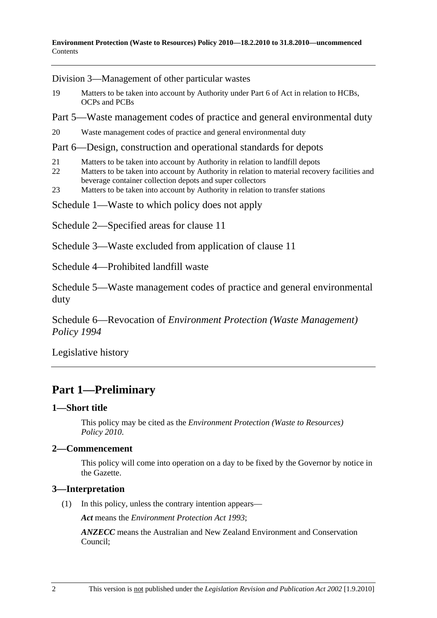<span id="page-1-0"></span>[Division 3—Management of other particular wastes](#page-14-0)

- [19 Matters to be taken into account by Authority under Part 6 of Act in relation to HCBs,](#page-14-0)  [OCPs and PCBs](#page-14-0)
- [Part 5—Waste management codes of practice and general environmental duty](#page-15-0)
- [20 Waste management codes of practice and general environmental duty](#page-15-0)

#### [Part 6—Design, construction and operational standards for depots](#page-16-0)

- [21 Matters to be taken into account by Authority in relation to landfill depots](#page-16-0)
- 22 Matters to be taken into account by Authority in relation to material recovery facilities and [beverage container collection depots and super collectors](#page-16-0)
- [23 Matters to be taken into account by Authority in relation to transfer stations](#page-16-0)
- [Schedule 1—Waste to which policy does not apply](#page-17-0)
- Schedule 2—Specified areas for clause 11
- Schedule 3—Waste excluded from application of clause 11

Schedule 4—Prohibited landfill waste

Schedule 5—Waste management codes of practice and general environmental duty

Schedule 6—Revocation of *Environment Protection (Waste Management) Policy 1994*

Legislative history

## **Part 1—Preliminary**

#### **1—Short title**

This policy may be cited as the *Environment Protection (Waste to Resources) Policy 2010*.

#### **2—Commencement**

This policy will come into operation on a day to be fixed by the Governor by notice in the Gazette.

#### **3—Interpretation**

(1) In this policy, unless the contrary intention appears—

*Act* means the *Environment Protection Act 1993*;

*ANZECC* means the Australian and New Zealand Environment and Conservation Council;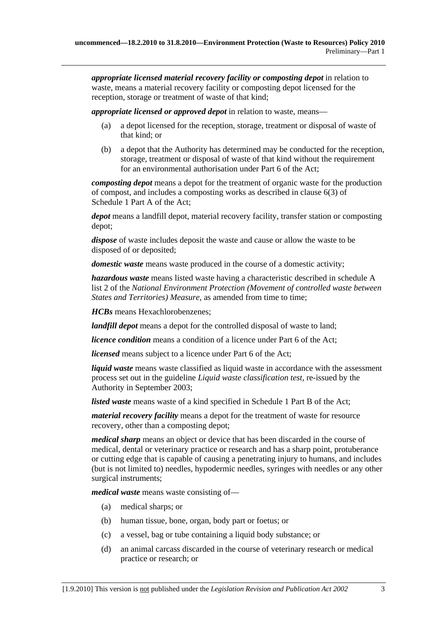*appropriate licensed material recovery facility or composting depot* in relation to waste, means a material recovery facility or composting depot licensed for the reception, storage or treatment of waste of that kind;

*appropriate licensed or approved depot* in relation to waste, means—

- (a) a depot licensed for the reception, storage, treatment or disposal of waste of that kind; or
- (b) a depot that the Authority has determined may be conducted for the reception, storage, treatment or disposal of waste of that kind without the requirement for an environmental authorisation under Part 6 of the Act;

*composting depot* means a depot for the treatment of organic waste for the production of compost, and includes a composting works as described in clause 6(3) of Schedule 1 Part A of the Act;

*depot* means a landfill depot, material recovery facility, transfer station or composting depot;

*dispose* of waste includes deposit the waste and cause or allow the waste to be disposed of or deposited;

*domestic waste* means waste produced in the course of a domestic activity;

*hazardous waste* means listed waste having a characteristic described in schedule A list 2 of the *National Environment Protection (Movement of controlled waste between States and Territories) Measure*, as amended from time to time;

*HCBs* means Hexachlorobenzenes;

*landfill depot* means a depot for the controlled disposal of waste to land;

*licence condition* means a condition of a licence under Part 6 of the Act;

*licensed* means subject to a licence under Part 6 of the Act;

*liquid waste* means waste classified as liquid waste in accordance with the assessment process set out in the guideline *Liquid waste classification test*, re-issued by the Authority in September 2003;

*listed waste* means waste of a kind specified in Schedule 1 Part B of the Act;

*material recovery facility* means a depot for the treatment of waste for resource recovery, other than a composting depot;

*medical sharp* means an object or device that has been discarded in the course of medical, dental or veterinary practice or research and has a sharp point, protuberance or cutting edge that is capable of causing a penetrating injury to humans, and includes (but is not limited to) needles, hypodermic needles, syringes with needles or any other surgical instruments;

*medical waste* means waste consisting of—

- (a) medical sharps; or
- (b) human tissue, bone, organ, body part or foetus; or
- (c) a vessel, bag or tube containing a liquid body substance; or
- (d) an animal carcass discarded in the course of veterinary research or medical practice or research; or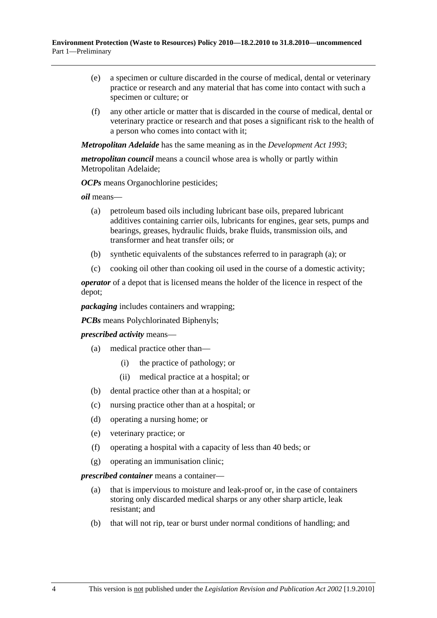- (e) a specimen or culture discarded in the course of medical, dental or veterinary practice or research and any material that has come into contact with such a specimen or culture; or
- (f) any other article or matter that is discarded in the course of medical, dental or veterinary practice or research and that poses a significant risk to the health of a person who comes into contact with it;

*Metropolitan Adelaide* has the same meaning as in the *Development Act 1993*;

*metropolitan council* means a council whose area is wholly or partly within Metropolitan Adelaide;

*OCPs* means Organochlorine pesticides;

*oil* means—

- (a) petroleum based oils including lubricant base oils, prepared lubricant additives containing carrier oils, lubricants for engines, gear sets, pumps and bearings, greases, hydraulic fluids, brake fluids, transmission oils, and transformer and heat transfer oils; or
- (b) synthetic equivalents of the substances referred to in paragraph (a); or
- (c) cooking oil other than cooking oil used in the course of a domestic activity;

*operator* of a depot that is licensed means the holder of the licence in respect of the depot;

*packaging* includes containers and wrapping;

*PCBs* means Polychlorinated Biphenyls;

*prescribed activity* means—

- (a) medical practice other than—
	- (i) the practice of pathology; or
	- (ii) medical practice at a hospital; or
- (b) dental practice other than at a hospital; or
- (c) nursing practice other than at a hospital; or
- (d) operating a nursing home; or
- (e) veterinary practice; or
- (f) operating a hospital with a capacity of less than 40 beds; or
- (g) operating an immunisation clinic;

*prescribed container* means a container—

- (a) that is impervious to moisture and leak-proof or, in the case of containers storing only discarded medical sharps or any other sharp article, leak resistant; and
- (b) that will not rip, tear or burst under normal conditions of handling; and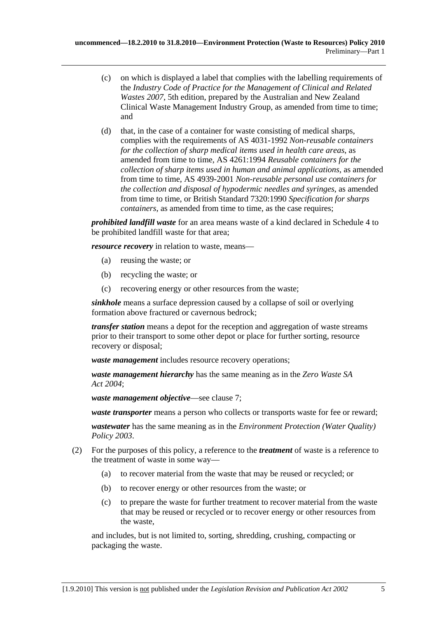- (c) on which is displayed a label that complies with the labelling requirements of the *Industry Code of Practice for the Management of Clinical and Related Wastes 2007*, 5th edition, prepared by the Australian and New Zealand Clinical Waste Management Industry Group, as amended from time to time; and
- (d) that, in the case of a container for waste consisting of medical sharps, complies with the requirements of AS 4031-1992 *Non-reusable containers for the collection of sharp medical items used in health care areas*, as amended from time to time, AS 4261:1994 *Reusable containers for the collection of sharp items used in human and animal applications*, as amended from time to time, AS 4939-2001 *Non-reusable personal use containers for the collection and disposal of hypodermic needles and syringes*, as amended from time to time, or British Standard 7320:1990 *Specification for sharps containers*, as amended from time to time, as the case requires;

*prohibited landfill waste* for an area means waste of a kind declared in Schedule 4 to be prohibited landfill waste for that area;

*resource recovery* in relation to waste, means—

- (a) reusing the waste; or
- (b) recycling the waste; or
- (c) recovering energy or other resources from the waste;

*sinkhole* means a surface depression caused by a collapse of soil or overlying formation above fractured or cavernous bedrock;

*transfer station* means a depot for the reception and aggregation of waste streams prior to their transport to some other depot or place for further sorting, resource recovery or disposal;

*waste management* includes resource recovery operations;

*waste management hierarchy* has the same meaning as in the *Zero Waste SA Act 2004*;

*waste management objective*—see clause 7;

*waste transporter* means a person who collects or transports waste for fee or reward;

*wastewater* has the same meaning as in the *Environment Protection (Water Quality) Policy 2003*.

- (2) For the purposes of this policy, a reference to the *treatment* of waste is a reference to the treatment of waste in some way—
	- (a) to recover material from the waste that may be reused or recycled; or
	- (b) to recover energy or other resources from the waste; or
	- (c) to prepare the waste for further treatment to recover material from the waste that may be reused or recycled or to recover energy or other resources from the waste,

and includes, but is not limited to, sorting, shredding, crushing, compacting or packaging the waste.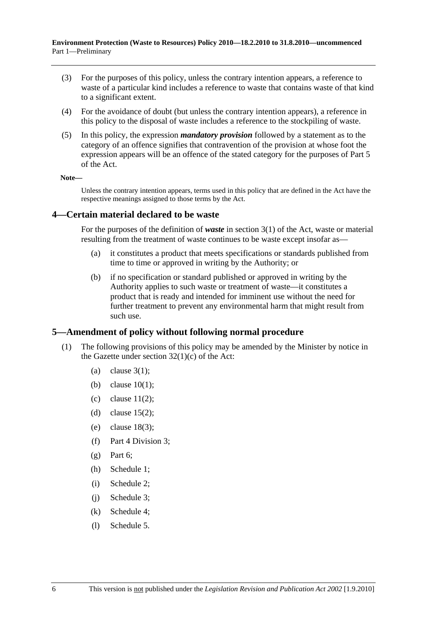- <span id="page-5-0"></span> (3) For the purposes of this policy, unless the contrary intention appears, a reference to waste of a particular kind includes a reference to waste that contains waste of that kind to a significant extent.
- (4) For the avoidance of doubt (but unless the contrary intention appears), a reference in this policy to the disposal of waste includes a reference to the stockpiling of waste.
- (5) In this policy, the expression *mandatory provision* followed by a statement as to the category of an offence signifies that contravention of the provision at whose foot the expression appears will be an offence of the stated category for the purposes of Part 5 of the Act.

**Note—** 

Unless the contrary intention appears, terms used in this policy that are defined in the Act have the respective meanings assigned to those terms by the Act.

#### **4—Certain material declared to be waste**

For the purposes of the definition of *waste* in section 3(1) of the Act, waste or material resulting from the treatment of waste continues to be waste except insofar as—

- (a) it constitutes a product that meets specifications or standards published from time to time or approved in writing by the Authority; or
- (b) if no specification or standard published or approved in writing by the Authority applies to such waste or treatment of waste—it constitutes a product that is ready and intended for imminent use without the need for further treatment to prevent any environmental harm that might result from such use.

#### **5—Amendment of policy without following normal procedure**

- (1) The following provisions of this policy may be amended by the Minister by notice in the Gazette under section  $32(1)(c)$  of the Act:
	- (a) clause  $3(1)$ :
	- (b) clause 10(1);
	- (c) clause  $11(2)$ ;
	- (d) clause  $15(2)$ ;
	- (e) clause 18(3);
	- (f) Part 4 Division 3;
	- $(\sigma)$  Part 6:
	- (h) Schedule 1;
	- (i) Schedule 2;
	- (j) Schedule 3;
	- (k) Schedule 4;
	- (l) Schedule 5.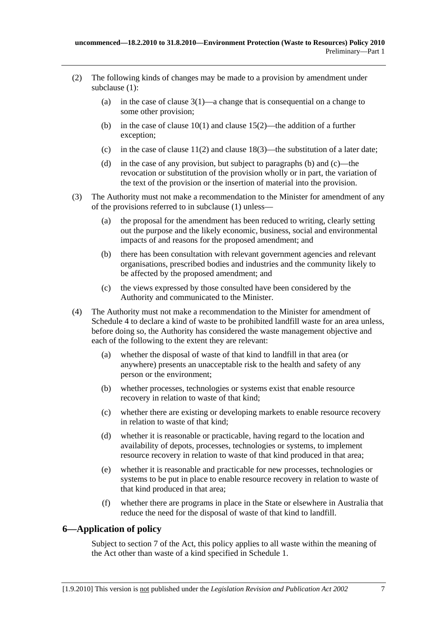- <span id="page-6-0"></span> (2) The following kinds of changes may be made to a provision by amendment under subclause (1):
	- (a) in the case of clause  $3(1)$ —a change that is consequential on a change to some other provision;
	- (b) in the case of clause 10(1) and clause 15(2)—the addition of a further exception;
	- (c) in the case of clause  $11(2)$  and clause  $18(3)$ —the substitution of a later date;
	- (d) in the case of any provision, but subject to paragraphs (b) and (c)—the revocation or substitution of the provision wholly or in part, the variation of the text of the provision or the insertion of material into the provision.
- (3) The Authority must not make a recommendation to the Minister for amendment of any of the provisions referred to in subclause (1) unless—
	- (a) the proposal for the amendment has been reduced to writing, clearly setting out the purpose and the likely economic, business, social and environmental impacts of and reasons for the proposed amendment; and
	- (b) there has been consultation with relevant government agencies and relevant organisations, prescribed bodies and industries and the community likely to be affected by the proposed amendment; and
	- (c) the views expressed by those consulted have been considered by the Authority and communicated to the Minister.
- (4) The Authority must not make a recommendation to the Minister for amendment of Schedule 4 to declare a kind of waste to be prohibited landfill waste for an area unless, before doing so, the Authority has considered the waste management objective and each of the following to the extent they are relevant:
	- (a) whether the disposal of waste of that kind to landfill in that area (or anywhere) presents an unacceptable risk to the health and safety of any person or the environment;
	- (b) whether processes, technologies or systems exist that enable resource recovery in relation to waste of that kind;
	- (c) whether there are existing or developing markets to enable resource recovery in relation to waste of that kind;
	- (d) whether it is reasonable or practicable, having regard to the location and availability of depots, processes, technologies or systems, to implement resource recovery in relation to waste of that kind produced in that area;
	- (e) whether it is reasonable and practicable for new processes, technologies or systems to be put in place to enable resource recovery in relation to waste of that kind produced in that area;
	- (f) whether there are programs in place in the State or elsewhere in Australia that reduce the need for the disposal of waste of that kind to landfill.

## **6—Application of policy**

Subject to section 7 of the Act, this policy applies to all waste within the meaning of the Act other than waste of a kind specified in Schedule 1.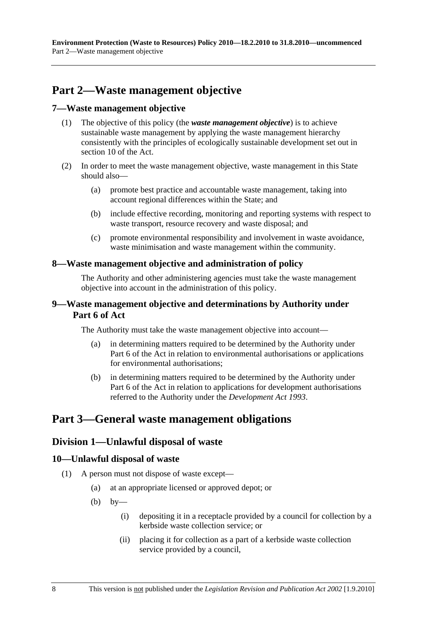## <span id="page-7-0"></span>**Part 2—Waste management objective**

#### **7—Waste management objective**

- (1) The objective of this policy (the *waste management objective*) is to achieve sustainable waste management by applying the waste management hierarchy consistently with the principles of ecologically sustainable development set out in section 10 of the Act.
- (2) In order to meet the waste management objective, waste management in this State should also—
	- (a) promote best practice and accountable waste management, taking into account regional differences within the State; and
	- (b) include effective recording, monitoring and reporting systems with respect to waste transport, resource recovery and waste disposal; and
	- (c) promote environmental responsibility and involvement in waste avoidance, waste minimisation and waste management within the community.

#### **8—Waste management objective and administration of policy**

The Authority and other administering agencies must take the waste management objective into account in the administration of this policy.

#### **9—Waste management objective and determinations by Authority under Part 6 of Act**

The Authority must take the waste management objective into account—

- (a) in determining matters required to be determined by the Authority under Part 6 of the Act in relation to environmental authorisations or applications for environmental authorisations;
- (b) in determining matters required to be determined by the Authority under Part 6 of the Act in relation to applications for development authorisations referred to the Authority under the *Development Act 1993*.

## **Part 3—General waste management obligations**

#### **Division 1—Unlawful disposal of waste**

#### **10—Unlawful disposal of waste**

- (1) A person must not dispose of waste except—
	- (a) at an appropriate licensed or approved depot; or
	- (b) by—
		- (i) depositing it in a receptacle provided by a council for collection by a kerbside waste collection service; or
		- (ii) placing it for collection as a part of a kerbside waste collection service provided by a council,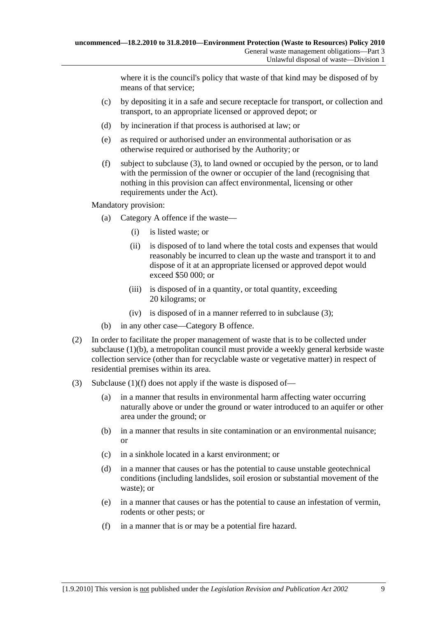where it is the council's policy that waste of that kind may be disposed of by means of that service;

- (c) by depositing it in a safe and secure receptacle for transport, or collection and transport, to an appropriate licensed or approved depot; or
- (d) by incineration if that process is authorised at law; or
- (e) as required or authorised under an environmental authorisation or as otherwise required or authorised by the Authority; or
- (f) subject to subclause (3), to land owned or occupied by the person, or to land with the permission of the owner or occupier of the land (recognising that nothing in this provision can affect environmental, licensing or other requirements under the Act).

Mandatory provision:

- (a) Category A offence if the waste—
	- (i) is listed waste; or
	- (ii) is disposed of to land where the total costs and expenses that would reasonably be incurred to clean up the waste and transport it to and dispose of it at an appropriate licensed or approved depot would exceed \$50 000; or
	- (iii) is disposed of in a quantity, or total quantity, exceeding 20 kilograms; or
	- (iv) is disposed of in a manner referred to in subclause (3);
- (b) in any other case—Category B offence.
- (2) In order to facilitate the proper management of waste that is to be collected under subclause (1)(b), a metropolitan council must provide a weekly general kerbside waste collection service (other than for recyclable waste or vegetative matter) in respect of residential premises within its area.
- (3) Subclause (1)(f) does not apply if the waste is disposed of—
	- (a) in a manner that results in environmental harm affecting water occurring naturally above or under the ground or water introduced to an aquifer or other area under the ground; or
	- (b) in a manner that results in site contamination or an environmental nuisance; or
	- (c) in a sinkhole located in a karst environment; or
	- (d) in a manner that causes or has the potential to cause unstable geotechnical conditions (including landslides, soil erosion or substantial movement of the waste); or
	- (e) in a manner that causes or has the potential to cause an infestation of vermin, rodents or other pests; or
	- (f) in a manner that is or may be a potential fire hazard.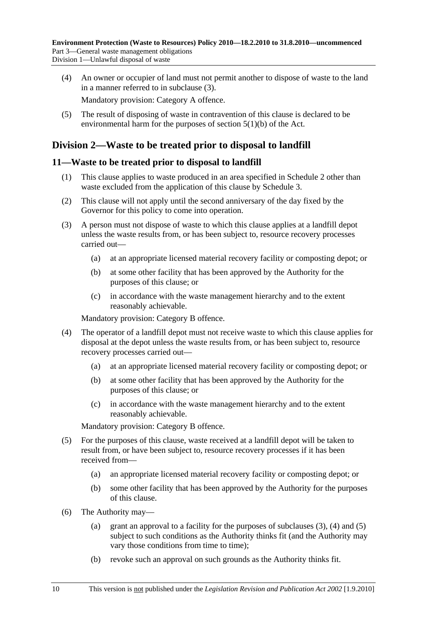<span id="page-9-0"></span> (4) An owner or occupier of land must not permit another to dispose of waste to the land in a manner referred to in subclause (3).

Mandatory provision: Category A offence.

 (5) The result of disposing of waste in contravention of this clause is declared to be environmental harm for the purposes of section 5(1)(b) of the Act.

## **Division 2—Waste to be treated prior to disposal to landfill**

#### **11—Waste to be treated prior to disposal to landfill**

- (1) This clause applies to waste produced in an area specified in Schedule 2 other than waste excluded from the application of this clause by Schedule 3.
- (2) This clause will not apply until the second anniversary of the day fixed by the Governor for this policy to come into operation.
- (3) A person must not dispose of waste to which this clause applies at a landfill depot unless the waste results from, or has been subject to, resource recovery processes carried out—
	- (a) at an appropriate licensed material recovery facility or composting depot; or
	- (b) at some other facility that has been approved by the Authority for the purposes of this clause; or
	- (c) in accordance with the waste management hierarchy and to the extent reasonably achievable.

Mandatory provision: Category B offence.

- (4) The operator of a landfill depot must not receive waste to which this clause applies for disposal at the depot unless the waste results from, or has been subject to, resource recovery processes carried out—
	- (a) at an appropriate licensed material recovery facility or composting depot; or
	- (b) at some other facility that has been approved by the Authority for the purposes of this clause; or
	- (c) in accordance with the waste management hierarchy and to the extent reasonably achievable.

Mandatory provision: Category B offence.

- (5) For the purposes of this clause, waste received at a landfill depot will be taken to result from, or have been subject to, resource recovery processes if it has been received from—
	- (a) an appropriate licensed material recovery facility or composting depot; or
	- (b) some other facility that has been approved by the Authority for the purposes of this clause.
- (6) The Authority may—
	- (a) grant an approval to a facility for the purposes of subclauses  $(3)$ ,  $(4)$  and  $(5)$ subject to such conditions as the Authority thinks fit (and the Authority may vary those conditions from time to time);
	- (b) revoke such an approval on such grounds as the Authority thinks fit.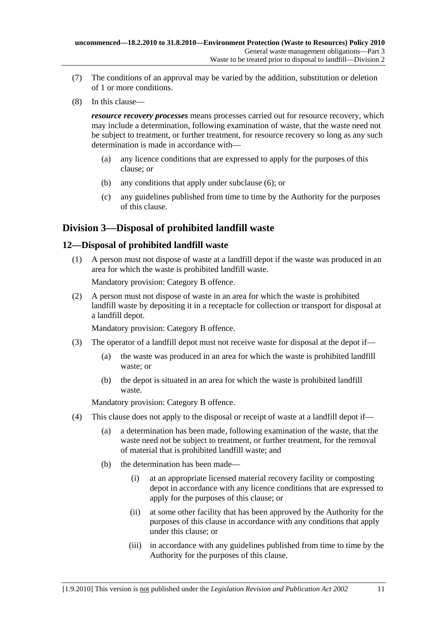- <span id="page-10-0"></span> (7) The conditions of an approval may be varied by the addition, substitution or deletion of 1 or more conditions.
- (8) In this clause—

*resource recovery processes* means processes carried out for resource recovery, which may include a determination, following examination of waste, that the waste need not be subject to treatment, or further treatment, for resource recovery so long as any such determination is made in accordance with—

- (a) any licence conditions that are expressed to apply for the purposes of this clause; or
- (b) any conditions that apply under subclause (6); or
- (c) any guidelines published from time to time by the Authority for the purposes of this clause.

## **Division 3—Disposal of prohibited landfill waste**

#### **12—Disposal of prohibited landfill waste**

 (1) A person must not dispose of waste at a landfill depot if the waste was produced in an area for which the waste is prohibited landfill waste.

Mandatory provision: Category B offence.

 (2) A person must not dispose of waste in an area for which the waste is prohibited landfill waste by depositing it in a receptacle for collection or transport for disposal at a landfill depot.

Mandatory provision: Category B offence.

- (3) The operator of a landfill depot must not receive waste for disposal at the depot if—
	- (a) the waste was produced in an area for which the waste is prohibited landfill waste; or
	- (b) the depot is situated in an area for which the waste is prohibited landfill waste.

Mandatory provision: Category B offence.

- (4) This clause does not apply to the disposal or receipt of waste at a landfill depot if—
	- (a) a determination has been made, following examination of the waste, that the waste need not be subject to treatment, or further treatment, for the removal of material that is prohibited landfill waste; and
	- (b) the determination has been made—
		- (i) at an appropriate licensed material recovery facility or composting depot in accordance with any licence conditions that are expressed to apply for the purposes of this clause; or
		- (ii) at some other facility that has been approved by the Authority for the purposes of this clause in accordance with any conditions that apply under this clause; or
		- (iii) in accordance with any guidelines published from time to time by the Authority for the purposes of this clause.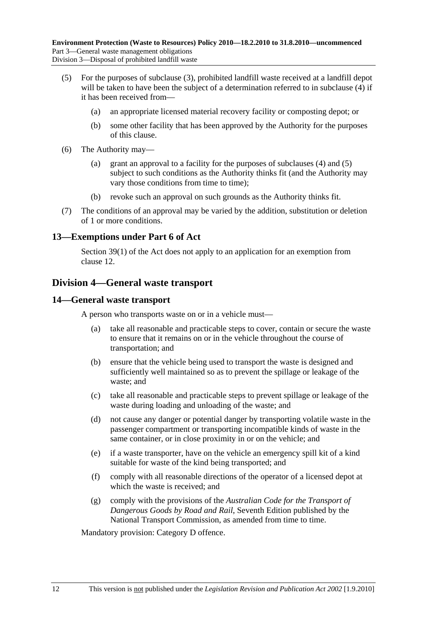- <span id="page-11-0"></span> (5) For the purposes of subclause (3), prohibited landfill waste received at a landfill depot will be taken to have been the subject of a determination referred to in subclause (4) if it has been received from—
	- (a) an appropriate licensed material recovery facility or composting depot; or
	- (b) some other facility that has been approved by the Authority for the purposes of this clause.
- (6) The Authority may—
	- (a) grant an approval to a facility for the purposes of subclauses (4) and (5) subject to such conditions as the Authority thinks fit (and the Authority may vary those conditions from time to time);
	- (b) revoke such an approval on such grounds as the Authority thinks fit.
- (7) The conditions of an approval may be varied by the addition, substitution or deletion of 1 or more conditions.

#### **13—Exemptions under Part 6 of Act**

Section 39(1) of the Act does not apply to an application for an exemption from clause 12.

## **Division 4—General waste transport**

#### **14—General waste transport**

A person who transports waste on or in a vehicle must—

- (a) take all reasonable and practicable steps to cover, contain or secure the waste to ensure that it remains on or in the vehicle throughout the course of transportation; and
- (b) ensure that the vehicle being used to transport the waste is designed and sufficiently well maintained so as to prevent the spillage or leakage of the waste; and
- (c) take all reasonable and practicable steps to prevent spillage or leakage of the waste during loading and unloading of the waste; and
- (d) not cause any danger or potential danger by transporting volatile waste in the passenger compartment or transporting incompatible kinds of waste in the same container, or in close proximity in or on the vehicle; and
- (e) if a waste transporter, have on the vehicle an emergency spill kit of a kind suitable for waste of the kind being transported; and
- (f) comply with all reasonable directions of the operator of a licensed depot at which the waste is received; and
- (g) comply with the provisions of the *Australian Code for the Transport of Dangerous Goods by Road and Rail*, Seventh Edition published by the National Transport Commission, as amended from time to time.

Mandatory provision: Category D offence.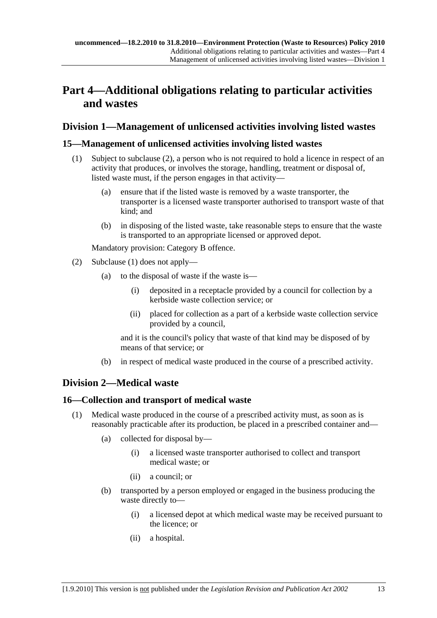## <span id="page-12-0"></span>**Part 4—Additional obligations relating to particular activities and wastes**

## **Division 1—Management of unlicensed activities involving listed wastes**

### **15—Management of unlicensed activities involving listed wastes**

- (1) Subject to subclause (2), a person who is not required to hold a licence in respect of an activity that produces, or involves the storage, handling, treatment or disposal of, listed waste must, if the person engages in that activity—
	- (a) ensure that if the listed waste is removed by a waste transporter, the transporter is a licensed waste transporter authorised to transport waste of that kind; and
	- (b) in disposing of the listed waste, take reasonable steps to ensure that the waste is transported to an appropriate licensed or approved depot.

Mandatory provision: Category B offence.

- (2) Subclause (1) does not apply—
	- (a) to the disposal of waste if the waste is
		- deposited in a receptacle provided by a council for collection by a kerbside waste collection service; or
		- (ii) placed for collection as a part of a kerbside waste collection service provided by a council,

and it is the council's policy that waste of that kind may be disposed of by means of that service; or

(b) in respect of medical waste produced in the course of a prescribed activity.

## **Division 2—Medical waste**

#### **16—Collection and transport of medical waste**

- (1) Medical waste produced in the course of a prescribed activity must, as soon as is reasonably practicable after its production, be placed in a prescribed container and—
	- (a) collected for disposal by—
		- (i) a licensed waste transporter authorised to collect and transport medical waste; or
		- (ii) a council; or
	- (b) transported by a person employed or engaged in the business producing the waste directly to—
		- (i) a licensed depot at which medical waste may be received pursuant to the licence; or
		- (ii) a hospital.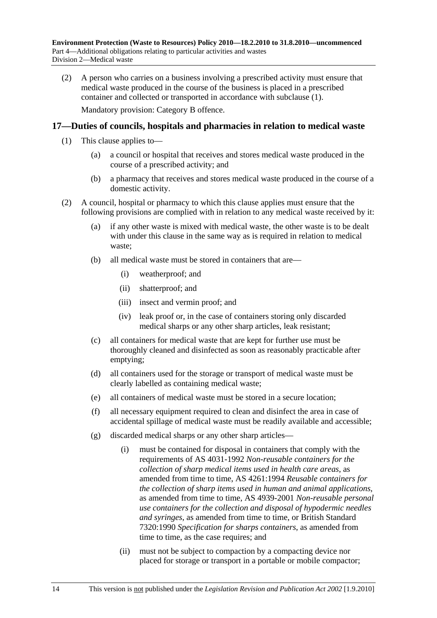<span id="page-13-0"></span> (2) A person who carries on a business involving a prescribed activity must ensure that medical waste produced in the course of the business is placed in a prescribed container and collected or transported in accordance with subclause (1). Mandatory provision: Category B offence.

#### **17—Duties of councils, hospitals and pharmacies in relation to medical waste**

- (1) This clause applies to—
	- (a) a council or hospital that receives and stores medical waste produced in the course of a prescribed activity; and
	- (b) a pharmacy that receives and stores medical waste produced in the course of a domestic activity.
- (2) A council, hospital or pharmacy to which this clause applies must ensure that the following provisions are complied with in relation to any medical waste received by it:
	- (a) if any other waste is mixed with medical waste, the other waste is to be dealt with under this clause in the same way as is required in relation to medical waste;
	- (b) all medical waste must be stored in containers that are—
		- (i) weatherproof; and
		- (ii) shatterproof; and
		- (iii) insect and vermin proof; and
		- (iv) leak proof or, in the case of containers storing only discarded medical sharps or any other sharp articles, leak resistant;
	- (c) all containers for medical waste that are kept for further use must be thoroughly cleaned and disinfected as soon as reasonably practicable after emptying;
	- (d) all containers used for the storage or transport of medical waste must be clearly labelled as containing medical waste;
	- (e) all containers of medical waste must be stored in a secure location;
	- (f) all necessary equipment required to clean and disinfect the area in case of accidental spillage of medical waste must be readily available and accessible;
	- (g) discarded medical sharps or any other sharp articles—
		- (i) must be contained for disposal in containers that comply with the requirements of AS 4031-1992 *Non-reusable containers for the collection of sharp medical items used in health care areas*, as amended from time to time, AS 4261:1994 *Reusable containers for the collection of sharp items used in human and animal applications*, as amended from time to time, AS 4939-2001 *Non-reusable personal use containers for the collection and disposal of hypodermic needles and syringes*, as amended from time to time, or British Standard 7320:1990 *Specification for sharps containers*, as amended from time to time, as the case requires; and
		- (ii) must not be subject to compaction by a compacting device nor placed for storage or transport in a portable or mobile compactor;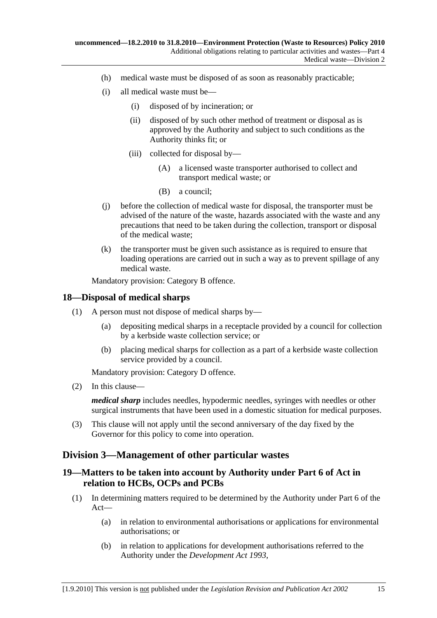- <span id="page-14-0"></span>(h) medical waste must be disposed of as soon as reasonably practicable;
- (i) all medical waste must be—
	- (i) disposed of by incineration; or
	- (ii) disposed of by such other method of treatment or disposal as is approved by the Authority and subject to such conditions as the Authority thinks fit; or
	- (iii) collected for disposal by—
		- (A) a licensed waste transporter authorised to collect and transport medical waste; or
		- (B) a council;
- (j) before the collection of medical waste for disposal, the transporter must be advised of the nature of the waste, hazards associated with the waste and any precautions that need to be taken during the collection, transport or disposal of the medical waste;
- (k) the transporter must be given such assistance as is required to ensure that loading operations are carried out in such a way as to prevent spillage of any medical waste.

Mandatory provision: Category B offence.

#### **18—Disposal of medical sharps**

- (1) A person must not dispose of medical sharps by—
	- (a) depositing medical sharps in a receptacle provided by a council for collection by a kerbside waste collection service; or
	- (b) placing medical sharps for collection as a part of a kerbside waste collection service provided by a council.

Mandatory provision: Category D offence.

(2) In this clause—

*medical sharp* includes needles, hypodermic needles, syringes with needles or other surgical instruments that have been used in a domestic situation for medical purposes.

 (3) This clause will not apply until the second anniversary of the day fixed by the Governor for this policy to come into operation.

## **Division 3—Management of other particular wastes**

### **19—Matters to be taken into account by Authority under Part 6 of Act in relation to HCBs, OCPs and PCBs**

- (1) In determining matters required to be determined by the Authority under Part 6 of the Act—
	- (a) in relation to environmental authorisations or applications for environmental authorisations; or
	- (b) in relation to applications for development authorisations referred to the Authority under the *Development Act 1993*,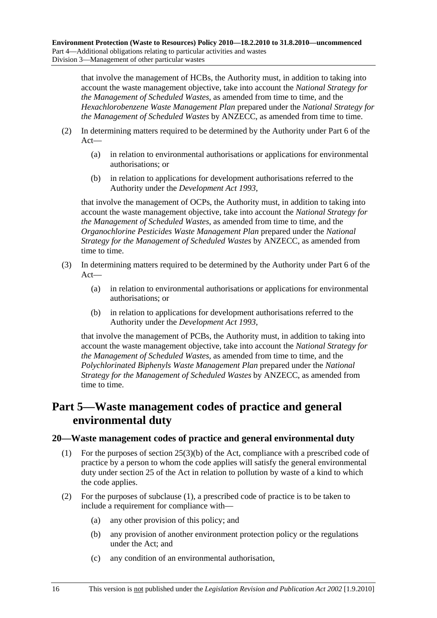<span id="page-15-0"></span>that involve the management of HCBs, the Authority must, in addition to taking into account the waste management objective, take into account the *National Strategy for the Management of Scheduled Wastes*, as amended from time to time, and the *Hexachlorobenzene Waste Management Plan* prepared under the *National Strategy for the Management of Scheduled Wastes* by ANZECC, as amended from time to time.

- (2) In determining matters required to be determined by the Authority under Part 6 of the Act—
	- (a) in relation to environmental authorisations or applications for environmental authorisations; or
	- (b) in relation to applications for development authorisations referred to the Authority under the *Development Act 1993*,

that involve the management of OCPs, the Authority must, in addition to taking into account the waste management objective, take into account the *National Strategy for the Management of Scheduled Wastes*, as amended from time to time, and the *Organochlorine Pesticides Waste Management Plan* prepared under the *National Strategy for the Management of Scheduled Wastes* by ANZECC, as amended from time to time.

- (3) In determining matters required to be determined by the Authority under Part 6 of the Act—
	- (a) in relation to environmental authorisations or applications for environmental authorisations; or
	- (b) in relation to applications for development authorisations referred to the Authority under the *Development Act 1993*,

that involve the management of PCBs, the Authority must, in addition to taking into account the waste management objective, take into account the *National Strategy for the Management of Scheduled Wastes*, as amended from time to time, and the *Polychlorinated Biphenyls Waste Management Plan* prepared under the *National Strategy for the Management of Scheduled Wastes* by ANZECC, as amended from time to time.

## **Part 5—Waste management codes of practice and general environmental duty**

#### **20—Waste management codes of practice and general environmental duty**

- (1) For the purposes of section 25(3)(b) of the Act, compliance with a prescribed code of practice by a person to whom the code applies will satisfy the general environmental duty under section 25 of the Act in relation to pollution by waste of a kind to which the code applies.
- (2) For the purposes of subclause (1), a prescribed code of practice is to be taken to include a requirement for compliance with—
	- (a) any other provision of this policy; and
	- (b) any provision of another environment protection policy or the regulations under the Act; and
	- (c) any condition of an environmental authorisation,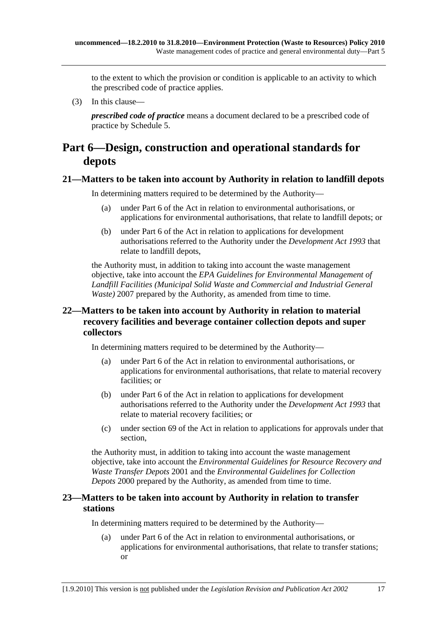<span id="page-16-0"></span>to the extent to which the provision or condition is applicable to an activity to which the prescribed code of practice applies.

(3) In this clause—

*prescribed code of practice* means a document declared to be a prescribed code of practice by Schedule 5.

## **Part 6—Design, construction and operational standards for depots**

#### **21—Matters to be taken into account by Authority in relation to landfill depots**

In determining matters required to be determined by the Authority—

- (a) under Part 6 of the Act in relation to environmental authorisations, or applications for environmental authorisations, that relate to landfill depots; or
- (b) under Part 6 of the Act in relation to applications for development authorisations referred to the Authority under the *Development Act 1993* that relate to landfill depots,

the Authority must, in addition to taking into account the waste management objective, take into account the *EPA Guidelines for Environmental Management of Landfill Facilities (Municipal Solid Waste and Commercial and Industrial General Waste*) 2007 prepared by the Authority, as amended from time to time.

### **22—Matters to be taken into account by Authority in relation to material recovery facilities and beverage container collection depots and super collectors**

In determining matters required to be determined by the Authority—

- (a) under Part 6 of the Act in relation to environmental authorisations, or applications for environmental authorisations, that relate to material recovery facilities; or
- (b) under Part 6 of the Act in relation to applications for development authorisations referred to the Authority under the *Development Act 1993* that relate to material recovery facilities; or
- (c) under section 69 of the Act in relation to applications for approvals under that section,

the Authority must, in addition to taking into account the waste management objective, take into account the *Environmental Guidelines for Resource Recovery and Waste Transfer Depots* 2001 and the *Environmental Guidelines for Collection Depots* 2000 prepared by the Authority, as amended from time to time.

### **23—Matters to be taken into account by Authority in relation to transfer stations**

In determining matters required to be determined by the Authority—

 (a) under Part 6 of the Act in relation to environmental authorisations, or applications for environmental authorisations, that relate to transfer stations; or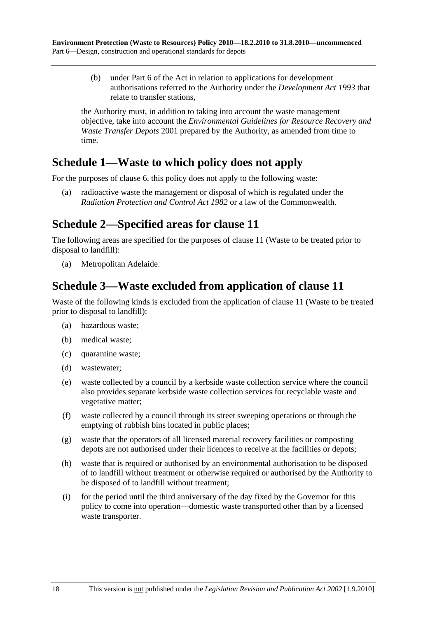<span id="page-17-0"></span> (b) under Part 6 of the Act in relation to applications for development authorisations referred to the Authority under the *Development Act 1993* that relate to transfer stations,

the Authority must, in addition to taking into account the waste management objective, take into account the *Environmental Guidelines for Resource Recovery and Waste Transfer Depots* 2001 prepared by the Authority, as amended from time to time.

## **Schedule 1—Waste to which policy does not apply**

For the purposes of clause 6, this policy does not apply to the following waste:

 (a) radioactive waste the management or disposal of which is regulated under the *Radiation Protection and Control Act 1982* or a law of the Commonwealth.

## **Schedule 2—Specified areas for clause 11**

The following areas are specified for the purposes of clause 11 (Waste to be treated prior to disposal to landfill):

(a) Metropolitan Adelaide.

## **Schedule 3—Waste excluded from application of clause 11**

Waste of the following kinds is excluded from the application of clause 11 (Waste to be treated prior to disposal to landfill):

- (a) hazardous waste;
- (b) medical waste;
- (c) quarantine waste;
- (d) wastewater;
- (e) waste collected by a council by a kerbside waste collection service where the council also provides separate kerbside waste collection services for recyclable waste and vegetative matter;
- (f) waste collected by a council through its street sweeping operations or through the emptying of rubbish bins located in public places;
- (g) waste that the operators of all licensed material recovery facilities or composting depots are not authorised under their licences to receive at the facilities or depots;
- (h) waste that is required or authorised by an environmental authorisation to be disposed of to landfill without treatment or otherwise required or authorised by the Authority to be disposed of to landfill without treatment;
- (i) for the period until the third anniversary of the day fixed by the Governor for this policy to come into operation—domestic waste transported other than by a licensed waste transporter.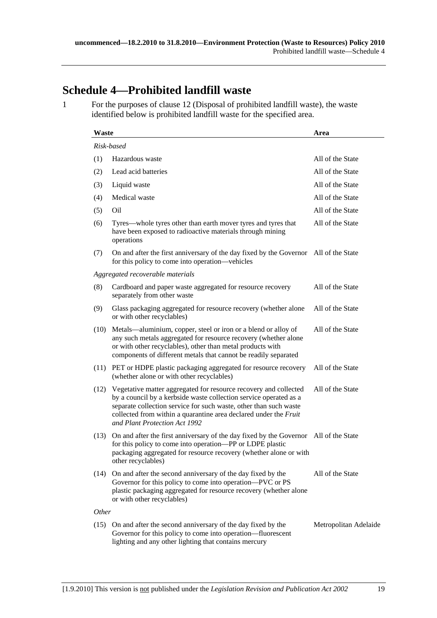## **Schedule 4—Prohibited landfill waste**

1 For the purposes of clause 12 (Disposal of prohibited landfill waste), the waste identified below is prohibited landfill waste for the specified area.

| Waste      |                                                                                                                                                                                                                                                                                                                 | Area                  |  |  |  |
|------------|-----------------------------------------------------------------------------------------------------------------------------------------------------------------------------------------------------------------------------------------------------------------------------------------------------------------|-----------------------|--|--|--|
| Risk-based |                                                                                                                                                                                                                                                                                                                 |                       |  |  |  |
| (1)        | Hazardous waste                                                                                                                                                                                                                                                                                                 | All of the State      |  |  |  |
| (2)        | Lead acid batteries                                                                                                                                                                                                                                                                                             | All of the State      |  |  |  |
| (3)        | Liquid waste                                                                                                                                                                                                                                                                                                    | All of the State      |  |  |  |
| (4)        | Medical waste                                                                                                                                                                                                                                                                                                   | All of the State      |  |  |  |
| (5)        | Oil                                                                                                                                                                                                                                                                                                             | All of the State      |  |  |  |
| (6)        | Tyres—whole tyres other than earth mover tyres and tyres that<br>have been exposed to radioactive materials through mining<br>operations                                                                                                                                                                        | All of the State      |  |  |  |
| (7)        | On and after the first anniversary of the day fixed by the Governor All of the State<br>for this policy to come into operation—vehicles                                                                                                                                                                         |                       |  |  |  |
|            | Aggregated recoverable materials                                                                                                                                                                                                                                                                                |                       |  |  |  |
| (8)        | Cardboard and paper waste aggregated for resource recovery<br>separately from other waste                                                                                                                                                                                                                       | All of the State      |  |  |  |
| (9)        | Glass packaging aggregated for resource recovery (whether alone<br>or with other recyclables)                                                                                                                                                                                                                   | All of the State      |  |  |  |
| (10)       | Metals—aluminium, copper, steel or iron or a blend or alloy of<br>any such metals aggregated for resource recovery (whether alone<br>or with other recyclables), other than metal products with<br>components of different metals that cannot be readily separated                                              | All of the State      |  |  |  |
| (11)       | PET or HDPE plastic packaging aggregated for resource recovery<br>(whether alone or with other recyclables)                                                                                                                                                                                                     | All of the State      |  |  |  |
| (12)       | Vegetative matter aggregated for resource recovery and collected<br>by a council by a kerbside waste collection service operated as a<br>separate collection service for such waste, other than such waste<br>collected from within a quarantine area declared under the Fruit<br>and Plant Protection Act 1992 | All of the State      |  |  |  |
| (13)       | On and after the first anniversary of the day fixed by the Governor All of the State<br>for this policy to come into operation-PP or LDPE plastic<br>packaging aggregated for resource recovery (whether alone or with<br>other recyclables)                                                                    |                       |  |  |  |
| (14)       | On and after the second anniversary of the day fixed by the<br>Governor for this policy to come into operation—PVC or PS<br>plastic packaging aggregated for resource recovery (whether alone<br>or with other recyclables)                                                                                     | All of the State      |  |  |  |
| Other      |                                                                                                                                                                                                                                                                                                                 |                       |  |  |  |
| (15)       | On and after the second anniversary of the day fixed by the<br>Governor for this policy to come into operation—fluorescent<br>lighting and any other lighting that contains mercury                                                                                                                             | Metropolitan Adelaide |  |  |  |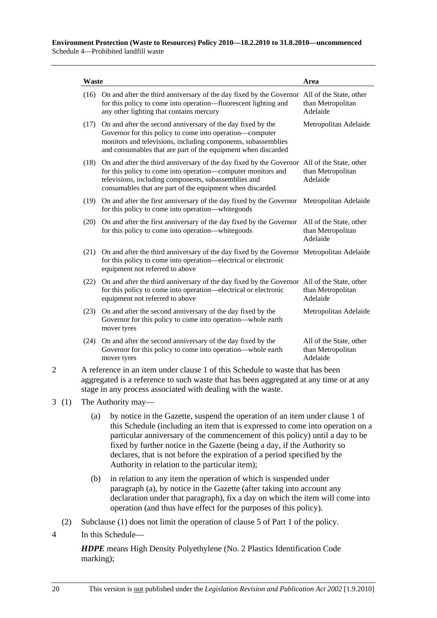| <b>Waste</b>                                                                                                                                                                                                                            |                                                                                                                                                                                                                                                                                       | Area                                                     |  |
|-----------------------------------------------------------------------------------------------------------------------------------------------------------------------------------------------------------------------------------------|---------------------------------------------------------------------------------------------------------------------------------------------------------------------------------------------------------------------------------------------------------------------------------------|----------------------------------------------------------|--|
|                                                                                                                                                                                                                                         | (16) On and after the third anniversary of the day fixed by the Governor All of the State, other<br>for this policy to come into operation—fluorescent lighting and<br>any other lighting that contains mercury                                                                       | than Metropolitan<br>Adelaide                            |  |
|                                                                                                                                                                                                                                         | (17) On and after the second anniversary of the day fixed by the<br>Governor for this policy to come into operation—computer<br>monitors and televisions, including components, subassemblies<br>and consumables that are part of the equipment when discarded                        | Metropolitan Adelaide                                    |  |
|                                                                                                                                                                                                                                         | (18) On and after the third anniversary of the day fixed by the Governor All of the State, other<br>for this policy to come into operation—computer monitors and<br>televisions, including components, subassemblies and<br>consumables that are part of the equipment when discarded | than Metropolitan<br>Adelaide                            |  |
|                                                                                                                                                                                                                                         | (19) On and after the first anniversary of the day fixed by the Governor<br>for this policy to come into operation—white goods                                                                                                                                                        | Metropolitan Adelaide                                    |  |
|                                                                                                                                                                                                                                         | (20) On and after the first anniversary of the day fixed by the Governor<br>for this policy to come into operation—white goods                                                                                                                                                        | All of the State, other<br>than Metropolitan<br>Adelaide |  |
|                                                                                                                                                                                                                                         | (21) On and after the third anniversary of the day fixed by the Governor Metropolitan Adelaide<br>for this policy to come into operation—electrical or electronic<br>equipment not referred to above                                                                                  |                                                          |  |
|                                                                                                                                                                                                                                         | (22) On and after the third anniversary of the day fixed by the Governor All of the State, other<br>for this policy to come into operation-electrical or electronic<br>equipment not referred to above                                                                                | than Metropolitan<br>Adelaide                            |  |
|                                                                                                                                                                                                                                         | (23) On and after the second anniversary of the day fixed by the<br>Governor for this policy to come into operation—whole earth<br>mover tyres                                                                                                                                        | Metropolitan Adelaide                                    |  |
|                                                                                                                                                                                                                                         | (24) On and after the second anniversary of the day fixed by the<br>Governor for this policy to come into operation—whole earth<br>mover tyres                                                                                                                                        | All of the State, other<br>than Metropolitan<br>Adelaide |  |
| A reference in an item under clause 1 of this Schedule to waste that has been<br>aggregated is a reference to such waste that has been aggregated at any time or at any<br>stage in any process associated with dealing with the waste. |                                                                                                                                                                                                                                                                                       |                                                          |  |
| 3(1)<br>The Authority may—                                                                                                                                                                                                              |                                                                                                                                                                                                                                                                                       |                                                          |  |
| (a)                                                                                                                                                                                                                                     | by notice in the Gazette, suspend the operation of an item under clause 1 of                                                                                                                                                                                                          |                                                          |  |

- this Schedule (including an item that is expressed to come into operation on a particular anniversary of the commencement of this policy) until a day to be fixed by further notice in the Gazette (being a day, if the Authority so declares, that is not before the expiration of a period specified by the Authority in relation to the particular item);
- (b) in relation to any item the operation of which is suspended under paragraph (a), by notice in the Gazette (after taking into account any declaration under that paragraph), fix a day on which the item will come into operation (and thus have effect for the purposes of this policy).
- (2) Subclause (1) does not limit the operation of clause 5 of Part 1 of the policy.
- 4 In this Schedule—

*HDPE* means High Density Polyethylene (No. 2 Plastics Identification Code marking);

 $3(1)$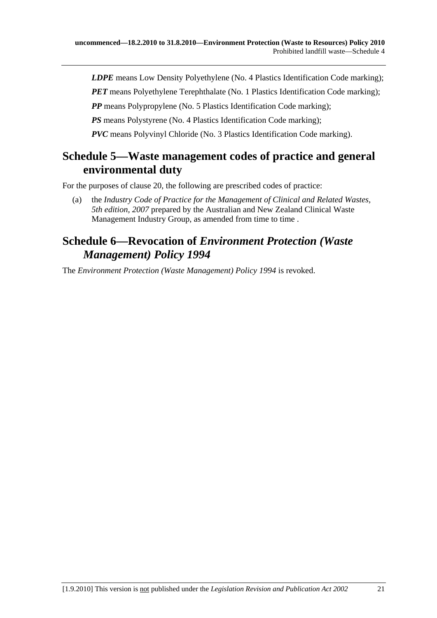*LDPE* means Low Density Polyethylene (No. 4 Plastics Identification Code marking);

*PET* means Polyethylene Terephthalate (No. 1 Plastics Identification Code marking);

*PP* means Polypropylene (No. 5 Plastics Identification Code marking);

*PS* means Polystyrene (No. 4 Plastics Identification Code marking);

*PVC* means Polyvinyl Chloride (No. 3 Plastics Identification Code marking).

## **Schedule 5—Waste management codes of practice and general environmental duty**

For the purposes of clause 20, the following are prescribed codes of practice:

 (a) the *Industry Code of Practice for the Management of Clinical and Related Wastes, 5th edition, 2007* prepared by the Australian and New Zealand Clinical Waste Management Industry Group, as amended from time to time.

## **Schedule 6—Revocation of** *Environment Protection (Waste Management) Policy 1994*

The *Environment Protection (Waste Management) Policy 1994* is revoked.